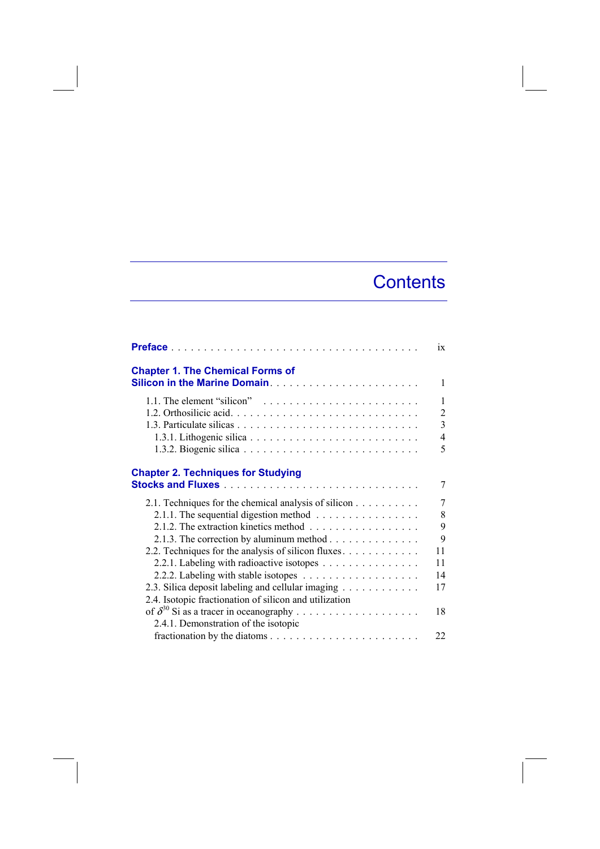## **Contents**

|                                                                                      | ix             |
|--------------------------------------------------------------------------------------|----------------|
| <b>Chapter 1. The Chemical Forms of</b>                                              | $\mathbf{1}$   |
|                                                                                      |                |
| 1.1. The element "silicon" $\ldots \ldots \ldots \ldots \ldots \ldots \ldots \ldots$ | $\mathbf{1}$   |
|                                                                                      | $\overline{c}$ |
|                                                                                      | $\overline{3}$ |
|                                                                                      | $\overline{4}$ |
|                                                                                      | 5              |
| <b>Chapter 2. Techniques for Studying</b>                                            | 7              |
| 2.1. Techniques for the chemical analysis of silicon                                 | 7              |
| 2.1.1. The sequential digestion method $\ldots \ldots \ldots \ldots \ldots$          | 8              |
|                                                                                      | 9              |
| 2.1.3. The correction by aluminum method                                             | 9              |
| 2.2. Techniques for the analysis of silicon fluxes.                                  | 11             |
| 2.2.1. Labeling with radioactive isotopes                                            | 11             |
|                                                                                      | 14             |
| 2.3. Silica deposit labeling and cellular imaging                                    | 17             |
| 2.4. Isotopic fractionation of silicon and utilization                               |                |
|                                                                                      | 18             |
| 2.4.1. Demonstration of the isotopic                                                 |                |
|                                                                                      | 22             |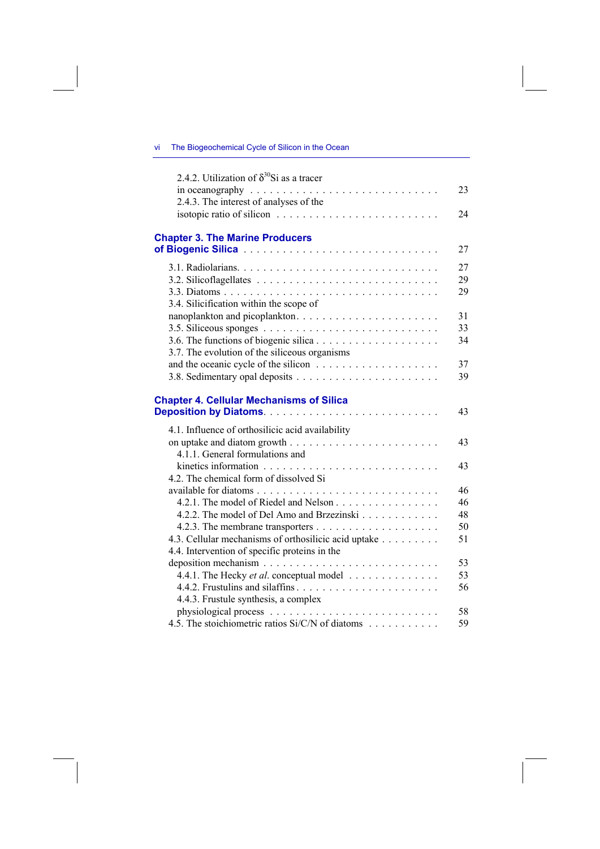## vi The Biogeochemical Cycle of Silicon in the Ocean

| 2.4.2. Utilization of $\delta^{30}$ Si as a tracer                               |    |
|----------------------------------------------------------------------------------|----|
| in oceanography $\ldots \ldots \ldots \ldots \ldots \ldots \ldots \ldots \ldots$ | 23 |
| 2.4.3. The interest of analyses of the                                           |    |
|                                                                                  | 24 |
|                                                                                  |    |
| <b>Chapter 3. The Marine Producers</b>                                           |    |
|                                                                                  | 27 |
|                                                                                  | 27 |
|                                                                                  | 29 |
|                                                                                  | 29 |
| 3.4. Silicification within the scope of                                          |    |
| nanoplankton and picoplankton                                                    | 31 |
|                                                                                  | 33 |
|                                                                                  | 34 |
| 3.7. The evolution of the siliceous organisms                                    |    |
|                                                                                  | 37 |
|                                                                                  | 39 |
|                                                                                  |    |
| <b>Chapter 4. Cellular Mechanisms of Silica</b>                                  | 43 |
|                                                                                  |    |
| 4.1. Influence of orthosilicic acid availability                                 |    |
|                                                                                  | 43 |
| 4.1.1. General formulations and                                                  |    |
|                                                                                  | 43 |
| 4.2. The chemical form of dissolved Si                                           | 46 |
| 4.2.1. The model of Riedel and Nelson                                            | 46 |
| 4.2.2. The model of Del Amo and Brzezinski                                       | 48 |
|                                                                                  | 50 |
| 4.3. Cellular mechanisms of orthosilicic acid uptake                             | 51 |
| 4.4. Intervention of specific proteins in the                                    |    |
|                                                                                  | 53 |
| 4.4.1. The Hecky <i>et al.</i> conceptual model $\ldots \ldots \ldots \ldots$    | 53 |
|                                                                                  | 56 |
| 4.4.3. Frustule synthesis, a complex                                             |    |
|                                                                                  | 58 |
| 4.5. The stoichiometric ratios Si/C/N of diatoms                                 | 59 |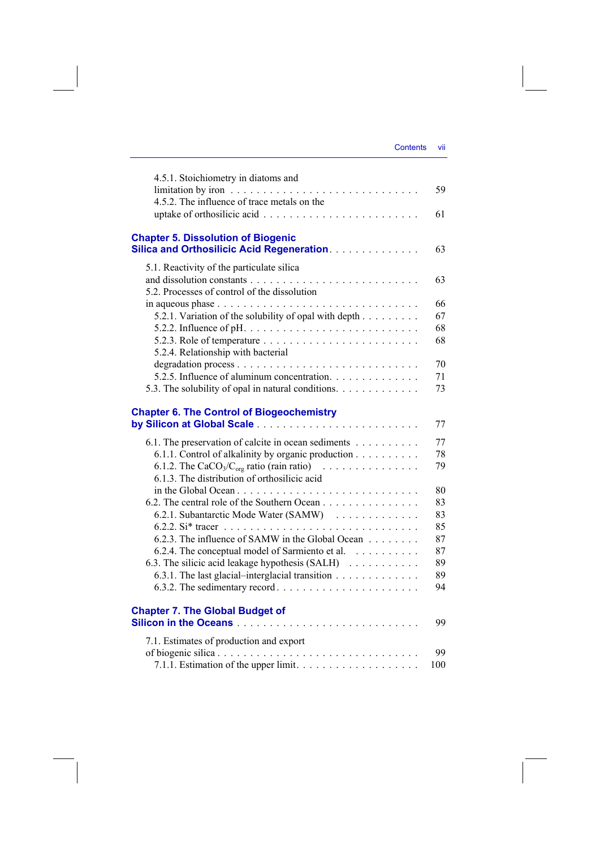| Contents | VII |
|----------|-----|
|          |     |

| 4.5.1. Stoichiometry in diatoms and                                                                    |     |
|--------------------------------------------------------------------------------------------------------|-----|
|                                                                                                        | 59  |
| 4.5.2. The influence of trace metals on the                                                            |     |
|                                                                                                        | 61  |
| <b>Chapter 5. Dissolution of Biogenic</b><br><b>Silica and Orthosilicic Acid Regeneration.</b>         | 63  |
| 5.1. Reactivity of the particulate silica                                                              |     |
|                                                                                                        | 63  |
| 5.2. Processes of control of the dissolution                                                           |     |
| in aqueous phase $\ldots \ldots \ldots \ldots \ldots \ldots \ldots \ldots \ldots \ldots$               | 66  |
| 5.2.1. Variation of the solubility of opal with depth                                                  | 67  |
|                                                                                                        | 68  |
| 5.2.3. Role of temperature $\ldots \ldots \ldots \ldots \ldots \ldots \ldots$                          | 68  |
| 5.2.4. Relationship with bacterial                                                                     |     |
|                                                                                                        | 70  |
| 5.2.5. Influence of aluminum concentration.                                                            | 71  |
| 5.3. The solubility of opal in natural conditions.                                                     | 73  |
| <b>Chapter 6. The Control of Biogeochemistry</b>                                                       |     |
|                                                                                                        | 77  |
| 6.1. The preservation of calcite in ocean sediments                                                    | 77  |
| 6.1.1. Control of alkalinity by organic production                                                     | 78  |
| 6.1.2. The CaCO <sub>3</sub> /C <sub>org</sub> ratio (rain ratio) $\ldots \ldots \ldots \ldots \ldots$ | 79  |
| 6.1.3. The distribution of orthosilicic acid                                                           |     |
|                                                                                                        | 80  |
| 6.2. The central role of the Southern Ocean                                                            | 83  |
| 6.2.1. Subantarctic Mode Water (SAMW)                                                                  | 83  |
|                                                                                                        | 85  |
| 6.2.3. The influence of SAMW in the Global Ocean                                                       | 87  |
| 6.2.4. The conceptual model of Sarmiento et al.                                                        | 87  |
| 6.3. The silicic acid leakage hypothesis (SALH)                                                        | 89  |
| 6.3.1. The last glacial-interglacial transition                                                        | 89  |
| 6.3.2. The sedimentary record $\ldots \ldots \ldots \ldots \ldots \ldots \ldots$                       | 94  |
| <b>Chapter 7. The Global Budget of</b>                                                                 |     |
|                                                                                                        | 99  |
| 7.1. Estimates of production and export                                                                |     |
|                                                                                                        | 99  |
|                                                                                                        | 100 |